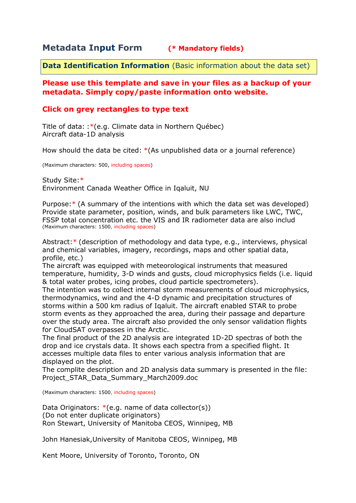## **Metadata Input Form (\* Mandatory fields)**

**Data Identification Information** (Basic information about the data set)

## **Please use this template and save in your files as a backup of your metadata. Simply copy/paste information onto website.**

## **Click on grey rectangles to type text**

Title of data: :\*(e.g. Climate data in Northern Québec) Aircraft data-1D analysis

How should the data be cited: \*(As unpublished data or a journal reference)

(Maximum characters: 500, including spaces)

Study Site:\* Environment Canada Weather Office in Iqaluit, NU

Purpose:\* (A summary of the intentions with which the data set was developed) Provide state parameter, position, winds, and bulk parameters like LWC, TWC, FSSP total concentration etc. the VIS and IR radiometer data are also includ (Maximum characters: 1500, including spaces)

Abstract:\* (description of methodology and data type, e.g., interviews, physical and chemical variables, imagery, recordings, maps and other spatial data, profile, etc.)

The aircraft was equipped with meteorological instruments that measured temperature, humidity, 3-D winds and gusts, cloud microphysics fields (i.e. liquid & total water probes, icing probes, cloud particle spectrometers).

The intention was to collect internal storm measurements of cloud microphysics, thermodynamics, wind and the 4-D dynamic and precipitation structures of storms within a 500 km radius of Iqaluit. The aircraft enabled STAR to probe storm events as they approached the area, during their passage and departure over the study area. The aircraft also provided the only sensor validation flights for CloudSAT overpasses in the Arctic.

The final product of the 2D analysis are integrated 1D-2D spectras of both the drop and ice crystals data. It shows each spectra from a specified flight. It accesses multiple data files to enter various analysis information that are displayed on the plot.

The complite description and 2D analysis data summary is presented in the file: Project\_STAR\_Data\_Summary\_March2009.doc

(Maximum characters: 1500, including spaces)

Data Originators:  $*(e.g.$  name of data collector(s)) (Do not enter duplicate originators) Ron Stewart, University of Manitoba CEOS, Winnipeg, MB

John Hanesiak,University of Manitoba CEOS, Winnipeg, MB

Kent Moore, University of Toronto, Toronto, ON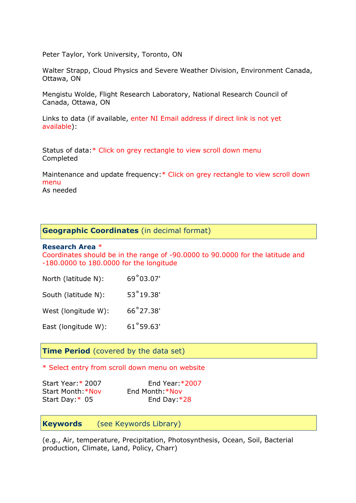Peter Taylor, York University, Toronto, ON

Walter Strapp, Cloud Physics and Severe Weather Division, Environment Canada, Ottawa, ON

Mengistu Wolde, Flight Research Laboratory, National Research Council of Canada, Ottawa, ON

Links to data (if available, enter NI Email address if direct link is not yet available):

Status of data:\* Click on grey rectangle to view scroll down menu Completed

Maintenance and update frequency:\* Click on grey rectangle to view scroll down menu

As needed

### **Geographic Coordinates** (in decimal format)

#### **Research Area** \*

Coordinates should be in the range of -90.0000 to 90.0000 for the latitude and -180.0000 to 180.0000 for the longitude

| North (latitude N): | 69°03.07'          |
|---------------------|--------------------|
| South (latitude N): | $53^{\circ}19.38'$ |
| West (longitude W): | 66°27.38'          |
| East (longitude W): | 61°59.63'          |

## **Time Period** (covered by the data set)

\* Select entry from scroll down menu on website

Start Year:\* 2007 End Year:\*2007 Start Month:\*Nov End Month:\*Nov Start Day: \* 05 End Day: \*28

**Keywords** (see Keywords Library)

(e.g., Air, temperature, Precipitation, Photosynthesis, Ocean, Soil, Bacterial production, Climate, Land, Policy, Charr)